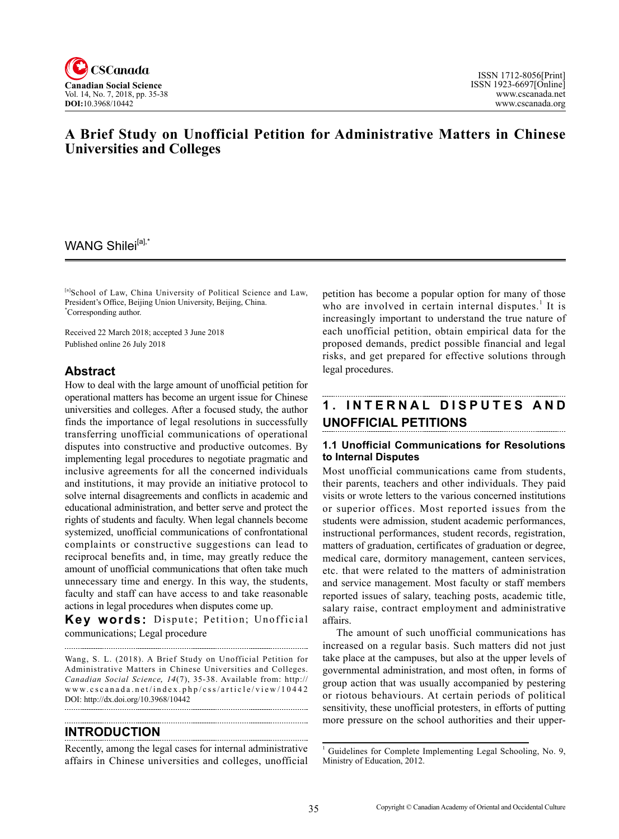

# **A Brief Study on Unofficial Petition for Administrative Matters in Chinese Universities and Colleges**

## WANG Shilei<sup>[a],\*</sup>

[a]School of Law, China University of Political Science and Law, President's Office, Beijing Union University, Beijing, China. \* Corresponding author.

Received 22 March 2018; accepted 3 June 2018 Published online 26 July 2018

### **Abstract**

How to deal with the large amount of unofficial petition for operational matters has become an urgent issue for Chinese universities and colleges. After a focused study, the author finds the importance of legal resolutions in successfully transferring unofficial communications of operational disputes into constructive and productive outcomes. By implementing legal procedures to negotiate pragmatic and inclusive agreements for all the concerned individuals and institutions, it may provide an initiative protocol to solve internal disagreements and conflicts in academic and educational administration, and better serve and protect the rights of students and faculty. When legal channels become systemized, unofficial communications of confrontational complaints or constructive suggestions can lead to reciprocal benefits and, in time, may greatly reduce the amount of unofficial communications that often take much unnecessary time and energy. In this way, the students, faculty and staff can have access to and take reasonable actions in legal procedures when disputes come up.

**Key words:** Dispute; Petition; Unofficial communications; Legal procedure

Wang, S. L. (2018). A Brief Study on Unofficial Petition for Administrative Matters in Chinese Universities and Colleges. *Canadian Social Science, 14(7), 35-38. Available from: http://* www.cscanada.net/index.php/css/article/view/10442 DOI: http://dx.doi.org/10.3968/10442 

## **Introduction**

Recently, among the legal cases for internal administrative affairs in Chinese universities and colleges, unofficial

petition has become a popular option for many of those who are involved in certain internal disputes.<sup>1</sup> It is increasingly important to understand the true nature of each unofficial petition, obtain empirical data for the proposed demands, predict possible financial and legal risks, and get prepared for effective solutions through legal procedures.

# **1. I nt e rn al D is p ut e s a nd Unofficial Petitions**

#### **1.1 Unofficial Communications for Resolutions to Internal Disputes**

Most unofficial communications came from students, their parents, teachers and other individuals. They paid visits or wrote letters to the various concerned institutions or superior offices. Most reported issues from the students were admission, student academic performances, instructional performances, student records, registration, matters of graduation, certificates of graduation or degree, medical care, dormitory management, canteen services, etc. that were related to the matters of administration and service management. Most faculty or staff members reported issues of salary, teaching posts, academic title, salary raise, contract employment and administrative affairs.

The amount of such unofficial communications has increased on a regular basis. Such matters did not just take place at the campuses, but also at the upper levels of governmental administration, and most often, in forms of group action that was usually accompanied by pestering or riotous behaviours. At certain periods of political sensitivity, these unofficial protesters, in efforts of putting more pressure on the school authorities and their upper-

<sup>&</sup>lt;sup>1</sup> Guidelines for Complete Implementing Legal Schooling, No. 9, Ministry of Education, 2012.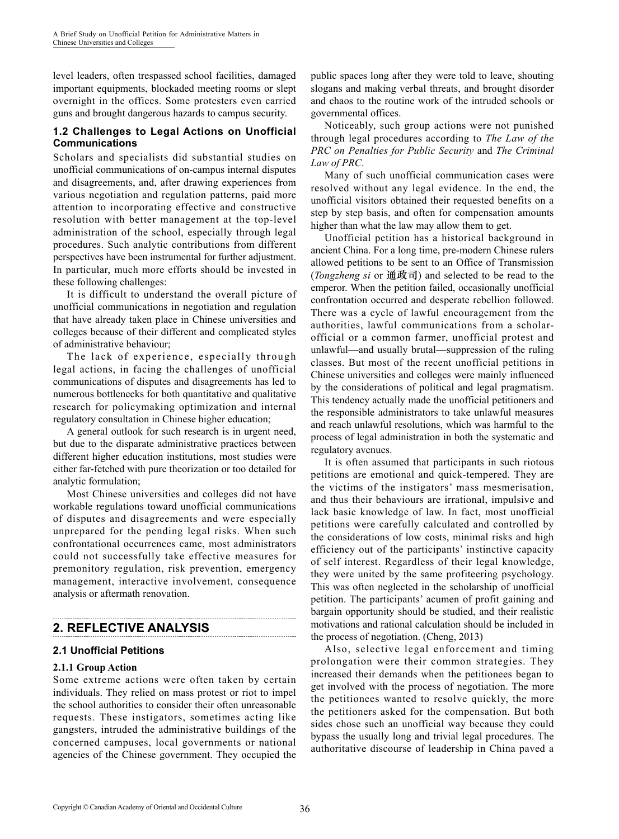level leaders, often trespassed school facilities, damaged important equipments, blockaded meeting rooms or slept overnight in the offices. Some protesters even carried guns and brought dangerous hazards to campus security.

### **1.2 Challenges to Legal Actions on Unofficial Communications**

Scholars and specialists did substantial studies on unofficial communications of on-campus internal disputes and disagreements, and, after drawing experiences from various negotiation and regulation patterns, paid more attention to incorporating effective and constructive resolution with better management at the top-level administration of the school, especially through legal procedures. Such analytic contributions from different perspectives have been instrumental for further adjustment. In particular, much more efforts should be invested in these following challenges:

It is difficult to understand the overall picture of unofficial communications in negotiation and regulation that have already taken place in Chinese universities and colleges because of their different and complicated styles of administrative behaviour;

The lack of experience, especially through legal actions, in facing the challenges of unofficial communications of disputes and disagreements has led to numerous bottlenecks for both quantitative and qualitative research for policymaking optimization and internal regulatory consultation in Chinese higher education;

A general outlook for such research is in urgent need, but due to the disparate administrative practices between different higher education institutions, most studies were either far-fetched with pure theorization or too detailed for analytic formulation;

Most Chinese universities and colleges did not have workable regulations toward unofficial communications of disputes and disagreements and were especially unprepared for the pending legal risks. When such confrontational occurrences came, most administrators could not successfully take effective measures for premonitory regulation, risk prevention, emergency management, interactive involvement, consequence analysis or aftermath renovation.

## **2. Reflective Analysis**

#### **2.1 Unofficial Petitions**

#### **2.1.1 Group Action**

Some extreme actions were often taken by certain individuals. They relied on mass protest or riot to impel the school authorities to consider their often unreasonable requests. These instigators, sometimes acting like gangsters, intruded the administrative buildings of the concerned campuses, local governments or national agencies of the Chinese government. They occupied the public spaces long after they were told to leave, shouting slogans and making verbal threats, and brought disorder and chaos to the routine work of the intruded schools or governmental offices.

Noticeably, such group actions were not punished through legal procedures according to *The Law of the PRC on Penalties for Public Security* and *The Criminal Law of PRC*.

Many of such unofficial communication cases were resolved without any legal evidence. In the end, the unofficial visitors obtained their requested benefits on a step by step basis, and often for compensation amounts higher than what the law may allow them to get.

Unofficial petition has a historical background in ancient China. For a long time, pre-modern Chinese rulers allowed petitions to be sent to an Office of Transmission (*Tongzheng si* or 通政司) and selected to be read to the emperor. When the petition failed, occasionally unofficial confrontation occurred and desperate rebellion followed. There was a cycle of lawful encouragement from the authorities, lawful communications from a scholarofficial or a common farmer, unofficial protest and unlawful—and usually brutal—suppression of the ruling classes. But most of the recent unofficial petitions in Chinese universities and colleges were mainly influenced by the considerations of political and legal pragmatism. This tendency actually made the unofficial petitioners and the responsible administrators to take unlawful measures and reach unlawful resolutions, which was harmful to the process of legal administration in both the systematic and regulatory avenues.

It is often assumed that participants in such riotous petitions are emotional and quick-tempered. They are the victims of the instigators' mass mesmerisation, and thus their behaviours are irrational, impulsive and lack basic knowledge of law. In fact, most unofficial petitions were carefully calculated and controlled by the considerations of low costs, minimal risks and high efficiency out of the participants' instinctive capacity of self interest. Regardless of their legal knowledge, they were united by the same profiteering psychology. This was often neglected in the scholarship of unofficial petition. The participants' acumen of profit gaining and bargain opportunity should be studied, and their realistic motivations and rational calculation should be included in the process of negotiation. (Cheng, 2013)

Also, selective legal enforcement and timing prolongation were their common strategies. They increased their demands when the petitionees began to get involved with the process of negotiation. The more the petitionees wanted to resolve quickly, the more the petitioners asked for the compensation. But both sides chose such an unofficial way because they could bypass the usually long and trivial legal procedures. The authoritative discourse of leadership in China paved a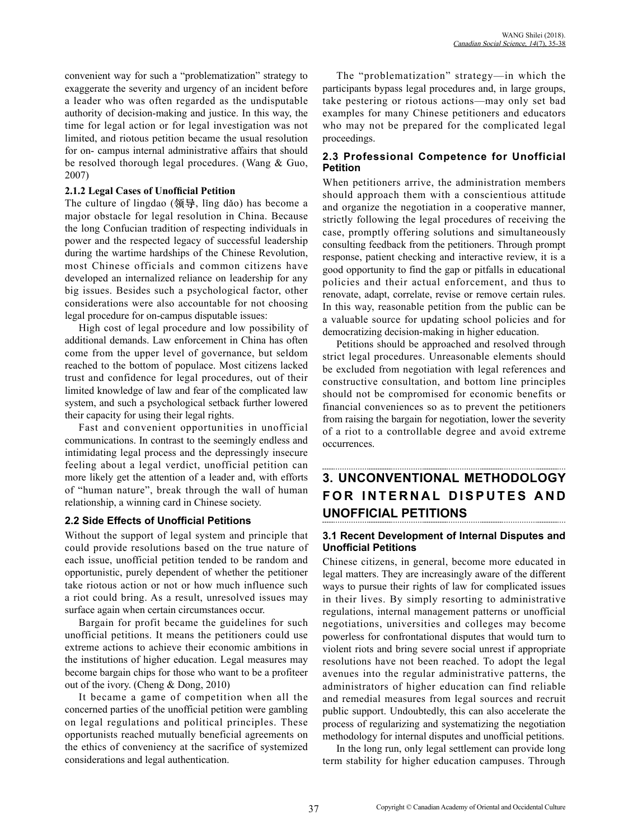convenient way for such a "problematization" strategy to exaggerate the severity and urgency of an incident before a leader who was often regarded as the undisputable authority of decision-making and justice. In this way, the time for legal action or for legal investigation was not limited, and riotous petition became the usual resolution for on- campus internal administrative affairs that should be resolved thorough legal procedures. (Wang & Guo, 2007)

#### **2.1.2 Legal Cases of Unofficial Petition**

The culture of lingdao (领导, lǐng dǎo) has become a major obstacle for legal resolution in China. Because the long Confucian tradition of respecting individuals in power and the respected legacy of successful leadership during the wartime hardships of the Chinese Revolution, most Chinese officials and common citizens have developed an internalized reliance on leadership for any big issues. Besides such a psychological factor, other considerations were also accountable for not choosing legal procedure for on-campus disputable issues:

High cost of legal procedure and low possibility of additional demands. Law enforcement in China has often come from the upper level of governance, but seldom reached to the bottom of populace. Most citizens lacked trust and confidence for legal procedures, out of their limited knowledge of law and fear of the complicated law system, and such a psychological setback further lowered their capacity for using their legal rights.

Fast and convenient opportunities in unofficial communications. In contrast to the seemingly endless and intimidating legal process and the depressingly insecure feeling about a legal verdict, unofficial petition can more likely get the attention of a leader and, with efforts of "human nature", break through the wall of human relationship, a winning card in Chinese society.

#### **2.2 Side Effects of Unofficial Petitions**

Without the support of legal system and principle that could provide resolutions based on the true nature of each issue, unofficial petition tended to be random and opportunistic, purely dependent of whether the petitioner take riotous action or not or how much influence such a riot could bring. As a result, unresolved issues may surface again when certain circumstances occur.

Bargain for profit became the guidelines for such unofficial petitions. It means the petitioners could use extreme actions to achieve their economic ambitions in the institutions of higher education. Legal measures may become bargain chips for those who want to be a profiteer out of the ivory. (Cheng & Dong, 2010)

It became a game of competition when all the concerned parties of the unofficial petition were gambling on legal regulations and political principles. These opportunists reached mutually beneficial agreements on the ethics of conveniency at the sacrifice of systemized considerations and legal authentication.

The "problematization" strategy—in which the participants bypass legal procedures and, in large groups, take pestering or riotous actions—may only set bad examples for many Chinese petitioners and educators who may not be prepared for the complicated legal proceedings.

#### **2.3 Professional Competence for Unofficial Petition**

When petitioners arrive, the administration members should approach them with a conscientious attitude and organize the negotiation in a cooperative manner, strictly following the legal procedures of receiving the case, promptly offering solutions and simultaneously consulting feedback from the petitioners. Through prompt response, patient checking and interactive review, it is a good opportunity to find the gap or pitfalls in educational policies and their actual enforcement, and thus to renovate, adapt, correlate, revise or remove certain rules. In this way, reasonable petition from the public can be a valuable source for updating school policies and for democratizing decision-making in higher education.

Petitions should be approached and resolved through strict legal procedures. Unreasonable elements should be excluded from negotiation with legal references and constructive consultation, and bottom line principles should not be compromised for economic benefits or financial conveniences so as to prevent the petitioners from raising the bargain for negotiation, lower the severity of a riot to a controllable degree and avoid extreme occurrences.

# **3. UNCONVENTIONAL METHODOLOGY**   $FOR INTERNAL DISPUTES AND$ **UNOFFICIAL PETITIONS**

#### **3.1 Recent Development of Internal Disputes and Unofficial Petitions**

Chinese citizens, in general, become more educated in legal matters. They are increasingly aware of the different ways to pursue their rights of law for complicated issues in their lives. By simply resorting to administrative regulations, internal management patterns or unofficial negotiations, universities and colleges may become powerless for confrontational disputes that would turn to violent riots and bring severe social unrest if appropriate resolutions have not been reached. To adopt the legal avenues into the regular administrative patterns, the administrators of higher education can find reliable and remedial measures from legal sources and recruit public support. Undoubtedly, this can also accelerate the process of regularizing and systematizing the negotiation methodology for internal disputes and unofficial petitions.

In the long run, only legal settlement can provide long term stability for higher education campuses. Through